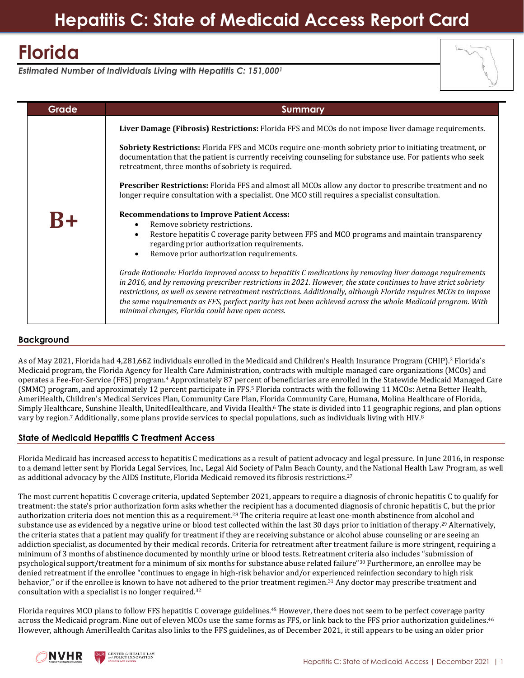# **Florida**

*Estimated Number of Individuals Living with Hepatitis C: 151,000<sup>1</sup>*

| ÷ |
|---|

| <b>Grade</b> | <b>Summary</b>                                                                                                                                                                                                                                                                                                                                                                                                                                                                                                                                                                                                                                                                                                                                                                                                             |
|--------------|----------------------------------------------------------------------------------------------------------------------------------------------------------------------------------------------------------------------------------------------------------------------------------------------------------------------------------------------------------------------------------------------------------------------------------------------------------------------------------------------------------------------------------------------------------------------------------------------------------------------------------------------------------------------------------------------------------------------------------------------------------------------------------------------------------------------------|
|              | Liver Damage (Fibrosis) Restrictions: Florida FFS and MCOs do not impose liver damage requirements.                                                                                                                                                                                                                                                                                                                                                                                                                                                                                                                                                                                                                                                                                                                        |
|              | <b>Sobriety Restrictions:</b> Florida FFS and MCOs require one-month sobriety prior to initiating treatment, or<br>documentation that the patient is currently receiving counseling for substance use. For patients who seek<br>retreatment, three months of sobriety is required.                                                                                                                                                                                                                                                                                                                                                                                                                                                                                                                                         |
|              | Prescriber Restrictions: Florida FFS and almost all MCOs allow any doctor to prescribe treatment and no<br>longer require consultation with a specialist. One MCO still requires a specialist consultation.                                                                                                                                                                                                                                                                                                                                                                                                                                                                                                                                                                                                                |
| $R+$         | <b>Recommendations to Improve Patient Access:</b><br>Remove sobriety restrictions.<br>Restore hepatitis C coverage parity between FFS and MCO programs and maintain transparency<br>$\bullet$<br>regarding prior authorization requirements.<br>Remove prior authorization requirements.<br>$\bullet$<br>Grade Rationale: Florida improved access to hepatitis C medications by removing liver damage requirements<br>in 2016, and by removing prescriber restrictions in 2021. However, the state continues to have strict sobriety<br>restrictions, as well as severe retreatment restrictions. Additionally, although Florida requires MCOs to impose<br>the same requirements as FFS, perfect parity has not been achieved across the whole Medicaid program. With<br>minimal changes, Florida could have open access. |

# **Background**

As of May 2021, Florida had 4,281,662 individuals enrolled in the Medicaid and Children's Health Insurance Program (CHIP).<sup>3</sup> Florida's Medicaid program, the Florida Agency for Health Care Administration, contracts with multiple managed care organizations (MCOs) and operates a Fee-For-Service (FFS) program.<sup>4</sup> Approximately 87 percent of beneficiaries are enrolled in the Statewide Medicaid Managed Care (SMMC) program, and approximately 12 percent participate in FFS.<sup>5</sup> Florida contracts with the following 11 MCOs: Aetna Better Health, AmeriHealth, Children's Medical Services Plan, Community Care Plan, Florida Community Care, Humana, Molina Healthcare of Florida, Simply Healthcare, Sunshine Health, UnitedHealthcare, and Vivida Health.<sup>6</sup> The state is divided into 11 geographic regions, and plan options vary by region.<sup>7</sup> Additionally, some plans provide services to special populations, such as individuals living with HIV.<sup>8</sup>

# **State of Medicaid Hepatitis C Treatment Access**

Florida Medicaid has increased access to hepatitis C medications as a result of patient advocacy and legal pressure. In June 2016, in response to a demand letter sent by Florida Legal Services, Inc., Legal Aid Society of Palm Beach County, and the National Health Law Program, as well as additional advocacy by the AIDS Institute, Florida Medicaid removed its fibrosis restrictions.<sup>27</sup>

The most current hepatitis C coverage criteria, updated September 2021, appears to require a diagnosis of chronic hepatitis C to qualify for treatment: the state's prior authorization form asks whether the recipient has a documented diagnosis of chronic hepatitis C, but the prior authorization criteria does not mention this as a requirement.<sup>28</sup> The criteria require at least one-month abstinence from alcohol and substance use as evidenced by a negative urine or blood test collected within the last 30 days prior to initiation of therapy.<sup>29</sup> Alternatively, the criteria states that a patient may qualify for treatment if they are receiving substance or alcohol abuse counseling or are seeing an addiction specialist, as documented by their medical records. Criteria for retreatment after treatment failure is more stringent, requiring a minimum of 3 months of abstinence documented by monthly urine or blood tests. Retreatment criteria also includes "submission of psychological support/treatment for a minimum of six months for substance abuse related failure"30 Furthermore, an enrollee may be denied retreatment if the enrollee "continues to engage in high-risk behavior and/or experienced reinfection secondary to high risk behavior," or if the enrollee is known to have not adhered to the prior treatment regimen.<sup>31</sup> Any doctor may prescribe treatment and consultation with a specialist is no longer required. 32

Florida requires MCO plans to follow FFS hepatitis C coverage guidelines.<sup>45</sup> However, there does not seem to be perfect coverage parity across the Medicaid program. Nine out of eleven MCOs use the same forms as FFS, or link back to the FFS prior authorization guidelines.<sup>46</sup> However, although AmeriHealth Caritas also links to the FFS guidelines, as of December 2021, it still appears to be using an older prior

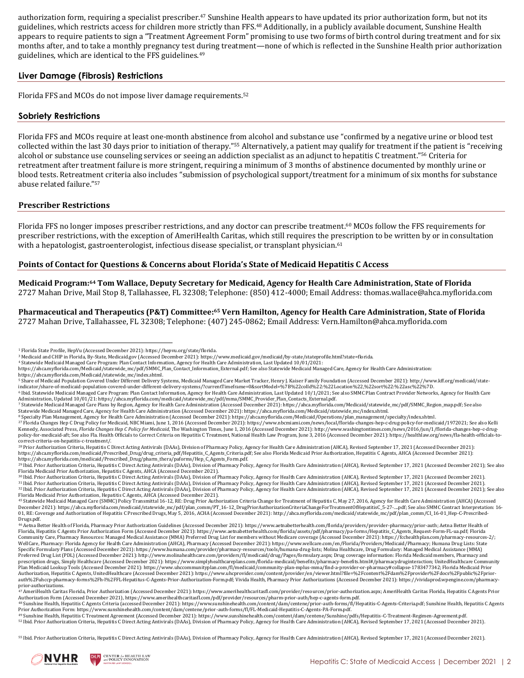authorization form, requiring a specialist prescriber.<sup>47</sup> Sunshine Health appears to have updated its prior authorization form, but not its guidelines, which restricts access for children more strictly than FFS.<sup>48</sup> Additionally, in a publicly available document, Sunshine Health appears to require patients to sign a "Treatment Agreement Form" promising to use two forms of birth control during treatment and for six months after, and to take a monthly pregnancy test during treatment—none of which is reflected in the Sunshine Health prior authorization guidelines, which are identical to the FFS guidelines.<sup>49</sup>

# **Liver Damage (Fibrosis) Restrictions**

Florida FFS and MCOs do not impose liver damage requirements.<sup>52</sup>

## **Sobriety Restrictions**

Florida FFS and MCOs require at least one-month abstinence from alcohol and substance use "confirmed by a negative urine or blood test collected within the last 30 days prior to initiation of therapy."<sup>55</sup> Alternatively, a patient may qualify for treatment if the patient is "receiving alcohol or substance use counseling services or seeing an addiction specialist as an adjunct to hepatitis C treatment."<sup>56</sup> Criteria for retreatment after treatment failure is more stringent, requiring a minimum of 3 months of abstinence documented by monthly urine or blood tests. Retreatment criteria also includes "submission of psychological support/treatment for a minimum of six months for substance abuse related failure." 57

#### **Prescriber Restrictions**

Florida FFS no longer imposes prescriber restrictions, and any doctor can prescribe treatment.<sup>60</sup> MCOs follow the FFS requirements for prescriber restrictions, with the exception of AmeriHealth Caritas, which still requires the prescription to be written by or in consultation with a hepatologist, gastroenterologist, infectious disease specialist, or transplant physician.<sup>61</sup>

#### **Points of Contact for Questions & Concerns about Florida's State of Medicaid Hepatitis C Access**

**Medicaid Program: <sup>64</sup> Tom Wallace, Deputy Secretary for Medicaid, Agency for Health Care Administration, State of Florida** 2727 Mahan Drive, Mail Stop 8, Tallahassee, FL 32308; Telephone: (850) 412-4000; Email Address: thomas.wallace@ahca.myflorida.com

**Pharmaceutical and Therapeutics (P&T) Committee: <sup>65</sup> Vern Hamilton, [Agency for Health Care Administration,](http://www.joesdata.com/c/Florida-Agency-for-Health-Care-Administration-3095563) State of Florida**  2727 Mahan Drive, Tallahassee, FL 32308; Telephone: (407) 245-0862; Email Address[: Vern.Hamilton@ahca.myflorida.com](mailto:Vern.Hamilton@ahca.myflorida.com)

[https://ahca.myflorida.com/Medicaid/statewide\\_mc/index.shtml.](https://ahca.myflorida.com/Medicaid/statewide_mc/index.shtml)

<sup>6</sup> Ibid. Statewide Medicaid Managed Care Program: Plan Contact Information, Agency for Health Care Administration, Last Updated 10/1/2021; See also SMMC Plan Contract Provider Networks, Agency for Health Care Administration, Updated 10/01/21[: https://ahca.myflorida.com/medicaid/statewide\\_mc/pdf/mma/SMMC\\_Provider\\_Plan\\_Contacts\\_External.pdf.](https://ahca.myflorida.com/medicaid/statewide_mc/pdf/mma/SMMC_Provider_Plan_Contacts_External.pdf) 

<sup>55</sup> Ibid. Prior Authorization Criteria, Hepatitis C Direct Acting Antivirals (DAAs), Division of Pharmacy Policy, Agency for Health Care Administration (AHCA), Revised September 17, 2021 (Accessed December 2021).



<sup>1</sup> Florida State Profile, HepVu (Accessed December 2021)[: https://hepvu.org/state/florida.](https://hepvu.org/state/florida/)

<sup>3</sup> Medicaid and CHIP in Florida, By-State, Medicaid.gov (Accessed December 2021)[: https://www.medicaid.gov/medicaid/by-state/stateprofile.html?state=florida.](https://www.medicaid.gov/medicaid/by-state/stateprofile.html?state=florida)

<sup>&</sup>lt;sup>4</sup> Statewide Medicaid Managed Care Program: Plan Contact Information, Agency for Health Care Administration, Last Updated 10/01/2021:<br>https://ahca.myflorida.com/Medicaid/statewide\_mc/pdf/SMMC\_Plan\_Contact\_Information\_Exte

<sup>&</sup>lt;sup>5</sup> Share of Medicaid Population Covered Under Different Delivery Systems, Medicaid Managed Care Market Tracker, Henry J. Kaiser Family Foundation (Accessed December 2021): http://www.kff.org/medicaid/state-<br>indicator/shar

<sup>&</sup>lt;sup>7</sup> Statewide Medicaid Managed Care Plans by Region, Agency for Health Care Administration (Accessed December 2021)[: https://ahca.myflorida.com/Medicaid/statewide\\_mc/pdf/SMMC\\_Region\\_map.pdf;](https://ahca.myflorida.com/Medicaid/statewide_mc/pdf/SMMC_Region_map.pdf) See also<br>Statewide Medicaid Man

<sup>&</sup>lt;sup>8</sup> Specialty Plan Management, Agency for Health Care Administration (Accessed December 2021)[: https://ahca.myflorida.com/Medicaid/Operations/plan\\_management/specialty/index.shtml.](https://ahca.myflorida.com/Medicaid/Operations/plan_management/specialty/index.shtml)<br><sup>27 Pi</sup>lorida Changes Hep Olicy for Medic [policy-for-medicaid-aft;](http://www.washingtontimes.com/news/2016/jun/1/florida-changes-hep-c-drug-policy-for-medicaid-aft/) See also Fla. Health Officials to Correct Criteria on Hepatitis C Treatment, National Health Law Program, June 3, 2016 (Accessed December 2021)[: https://healthlaw.org/news/fla-health-officials-to](https://healthlaw.org/news/fla-health-officials-to-correct-criteria-on-hepatitis-c-treatment/)[correct-criteria-on-hepatitis-c-treatment/.](https://healthlaw.org/news/fla-health-officials-to-correct-criteria-on-hepatitis-c-treatment/)

<sup>28</sup> Prior Authorization Criteria, Hepatitis C Direct Acting Antivirals (DAAs), Division of Pharmacy Policy, Agency for Health Care Administration (AHCA), Revised September 17, 2021 (Accessed December 2021): https://ahca.myflorida.com/medicaid/Prescribed\_Drug/drug\_criteria\_pdf/Hepatitis\_C\_Agents\_Criteria.pdf; See also Florida Medicaid Prior Authorization, Hepatitis C Agents, AHCA (Accessed December 2021):<br>https://ahca.myflorid

<sup>29</sup> Ibid. Prior Authorization Criteria, Hepatitis C Direct Acting Antivirals (DAAs), Division of Pharmacy Policy, Agency for Health Care Administration (AHCA), Revised September 17, 2021 (Accessed December 2021); See also Florida Medicaid Prior Authorization, Hepatitis C Agents, AHCA (Accessed December 2021).<br><sup>30</sup> Ibid. Prior Authorization Criteria, Hepatitis C Direct Acting Antivirals (DAAs), Division of Pharmacy Policy, Agency for Health

<sup>31</sup> Ibid. Prior Authorization Criteria, Hepatitis C Direct Acting Antivirals (DAAs), Division of Pharmacy Policy, Agency for Health Care Administration (AHCA), Revised September 17, 2021 (Accessed December 2021). <sup>32</sup> Ibid. Prior Authorization Criteria, Hepatitis C Direct Acting Antivirals (DAAs), Division of Pharmacy Policy, Agency for Health Care Administration (AHCA), Revised September 17, 2021 (Accessed December 2021); See also

<sup>45</sup> Statewide Medicaid Managed Care (SMMC) Policy Transmittal 16-12, RE: Drug Prior Authorization Criteria Change for Treatment of Hepatitis C, May 27, 2016, Agency for Health Care Administration (AHCA) (Accessed December 2021)[: https://ahca.myflorida.com/medicaid/statewide\\_mc/pdf/plan\\_comm/PT\\_16-12\\_DrugPriorAuthorizationCriteriaChangeForTreatmentOfHepatitisC\\_5-27-....pdf;](https://ahca.myflorida.com/medicaid/statewide_mc/pdf/plan_comm/PT_16-12_DrugPriorAuthorizationCriteriaChangeForTreatmentOfHepatitisC_5-27-....pdf) See also SMMC Contract Interpretation: 16-<br>01, RE: Coverage [Drugs.pdf.](http://ahca.myflorida.com/medicaid/statewide_mc/pdf/plan_comm/CI_16-01_Hep-C-Prescribed-Drugs.pdf)

<sup>46</sup> Aetna Better Health of Florida, Pharmacy Prior Authorization Guidelines (Accessed December 2021): https://www.aetnabetterhealth.com/florida/providers/provider-pharmacy/prior-auth; Aetna Better Health of Florida, Hepatitis C Agents Prior Authorization Form (Accessed December 2021): https://www.aetnabetterhealth.com/florida/assets/pdf/pharmacy/pa-forms/Hepatitis\_C\_Agents\_Request-Form-FL-ua.pdf; Florida<br>Community Care, Pharm WellCare, Pharmacy: Florida Agency for Health Care Administration (AHCA), Pharmacy (Accessed December 2021): https://www.wellcare.com/en/Florida/Providers/Medicaid/Pharmacy; Humana Drug Lists: State Specific Formulary Plans (Accessed December 2021): https://www.humana.com/provider/pharmacy-resources/tools/humana-drug-lists; Molina Healthcare, Drug Formulary: Managed Medical Assistance (MMA) Preferred Drug List (PDL) (Accessed December 2021): http://www.molinahealthcare.com/providers/fl/medicaid/drug/Pages/formulary.aspx; Drug coverage information: Florida Medicaid members, Pharmacy and prescription drugs, Simply Healthcare (Accessed December 2021): https://www.simplyhealthcareplans.com/florida-medicaid/benefits/pharmacy-benefits.html#/pharmacydruginteraction; UnitedHealthcare Community Plan Medicaid Lookup Tools (Accessed December 2021): https://www.uhccommunityplan.com/fl/medicaid/community-plan-mplus-mma/find-a-provider-or-pharmacy#collapse-1783477342; Florida Medicaid Prior Authorization, Hepatitis C Agents, UnitedHealthcare (Accessed December 2021): https://www.uhcprovider.com/content/provider/en/viewer.html?file=%2Fcontent%2Fdam%2Fprovider%2Fdocs%2Fpublic%2Fpriorauth%2Fuhccp-pharmacy-forms%2Fh-l%2FFL-Hepatitus-C-Agents-Prior-Authorization-Form.pdf; Vivida Health, Pharmacy Prior Authorizations (Accessed December 2021)[: https://vividaprod.wpengine.com/pharmacy](https://vividaprod.wpengine.com/pharmacy-prior-authorizations)[prior-authorizations.](https://vividaprod.wpengine.com/pharmacy-prior-authorizations)<br><sup>47</sup> AmeriHealth Caritas Florida, Prior Authorization (Accessed December 2021): https://www.amerihealthcaritasfl.com/provider/resources/prior-authorization.aspx; AmeriHealth Caritas Florida, Hepatitis

Authorization Form (Accessed December 2021), https://www.amerihealthcaritasfl.com/pdf/provider/resources/pharm-prior-auth/hep-c-agents-form.pdf.<br><sup>48</sup> Sunshine Health, Hepatitis C Agents Criteria (accessed December 2021): h

Prior Authorization Form: https://www.sunshinehealth.com/content/dam/centene/prior-auth-forms/fl/FL-Medicaid-Hepatitis-C-Agents-PA-Form.pdf.

<sup>&</sup>lt;sup>49</sup> Sunshine Health, Hepatitis C Treatment Agreement (Accessed December 2021): https://www.sunshinehealth.com/content/dam/centene/Sunshine/pdfs/Hepatitis-C-Treatment-Regimen-Agreement.pdf.<br><sup>52</sup> Ibid. Prior Authorization C